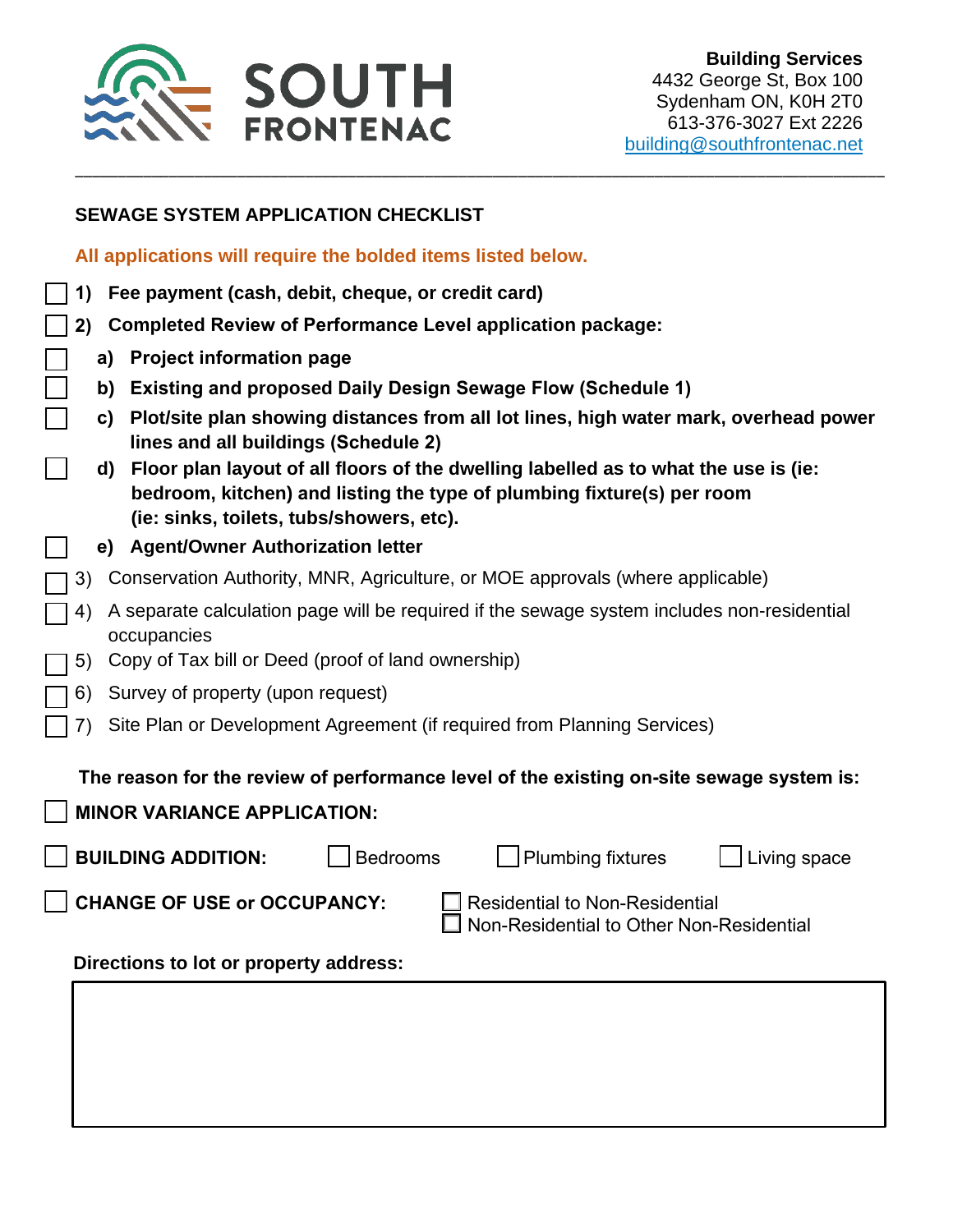

### **SEWAGE SYSTEM APPLICATION CHECKLIST**

**All applications will require the bolded items listed below.** 

- **1) Fee payment (cash, debit, cheque, or credit card)**
- **2) Completed Review of Performance Level application package:**
	- **a) Project information page**
	- **b) Existing and proposed Daily Design Sewage Flow (Schedule 1)**
	- **c) Plot/site plan showing distances from all lot lines, high water mark, overhead power lines and all buildings (Schedule 2)**

\_\_\_\_\_\_\_\_\_\_\_\_\_\_\_\_\_\_\_\_\_\_\_\_\_\_\_\_\_\_\_\_\_\_\_\_\_\_\_\_\_\_\_\_\_\_\_\_\_\_\_\_\_\_\_\_\_\_\_\_\_\_\_\_\_\_\_\_\_\_\_\_\_\_\_\_\_\_\_\_\_\_\_\_\_\_\_\_\_\_\_\_\_\_\_

- **d) Floor plan layout of all floors of the dwelling labelled as to what the use is (ie: bedroom, kitchen) and listing the type of plumbing fixture(s) per room (ie: sinks, toilets, tubs/showers, etc).**
- **e) Agent/Owner Authorization letter**
- 3) Conservation Authority, MNR, Agriculture, or MOE approvals (where applicable)
- 4) A separate calculation page will be required if the sewage system includes non-residential occupancies
- 5) Copy of Tax bill or Deed (proof of land ownership)
- 6) Survey of property (upon request)
- 7) Site Plan or Development Agreement (if required from Planning Services)

#### **The reason for the review of performance level of the existing on-site sewage system is:**

**MINOR VARIANCE APPLICATION:**

**BUILDING ADDITION:** | Bedrooms | Plumbing fixtures | Living space

**CHANGE OF USE or OCCUPANCY:** □ Residential to Non-Residential

Non-Residential to Other Non-Residential

**Directions to lot or property address:**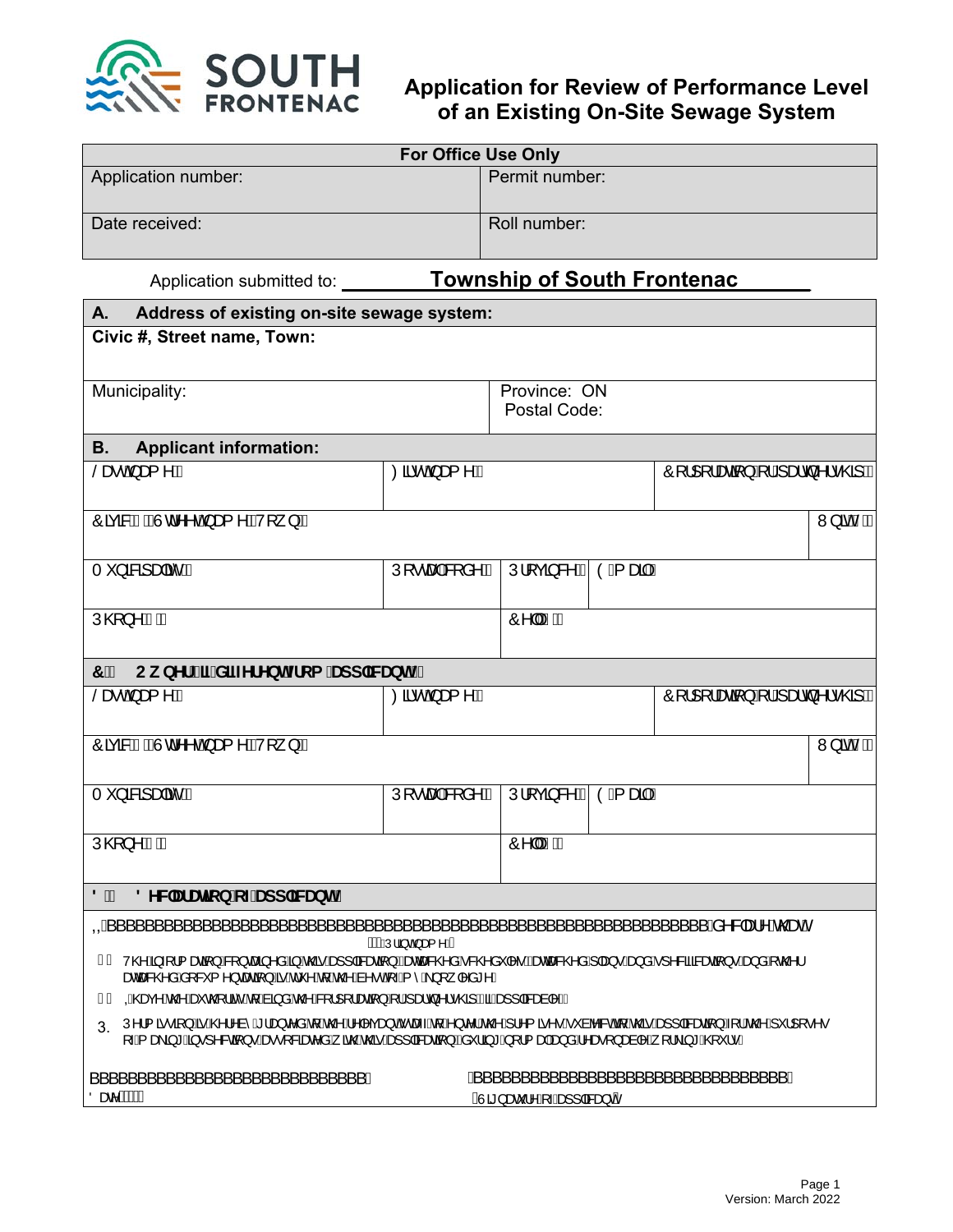

# **Application for Review of Performance Level of an Existing On-Site Sewage System**

|                                                                                                                                                                                                             | <b>For Office Use Only</b>                    |                                 |  |                                                                                     |                       |
|-------------------------------------------------------------------------------------------------------------------------------------------------------------------------------------------------------------|-----------------------------------------------|---------------------------------|--|-------------------------------------------------------------------------------------|-----------------------|
| Application number:                                                                                                                                                                                         |                                               | Permit number:                  |  |                                                                                     |                       |
| Date received:                                                                                                                                                                                              |                                               | Roll number:                    |  |                                                                                     |                       |
| Application submitted to: <b>Township of South Frontenac</b>                                                                                                                                                |                                               |                                 |  |                                                                                     |                       |
| А.<br>Address of existing on-site sewage system:                                                                                                                                                            |                                               |                                 |  |                                                                                     |                       |
| Civic #, Street name, Town:                                                                                                                                                                                 |                                               |                                 |  |                                                                                     |                       |
| Municipality:                                                                                                                                                                                               |                                               | Province: ON<br>Postal Code:    |  |                                                                                     |                       |
| <b>B.</b><br><b>Applicant information:</b>                                                                                                                                                                  |                                               |                                 |  |                                                                                     |                       |
| Særchast ^KA                                                                                                                                                                                                | Øä∙oÁæ{^KÁ                                    |                                 |  | $\hat{O}$ [¦][¦æa $\hat{A}$ } $\hat{A}$ ¦ $\hat{A}$ æd $\hat{O}$ ^ ¦•@3 K $\hat{P}$ |                       |
| Ôãca&AABÔd^^oA an ^BN } KA                                                                                                                                                                                  |                                               |                                 |  |                                                                                     | W <sub>i</sub> ão ANA |
| T `}ā&⦿lãčKÁ                                                                                                                                                                                                | Ú[ • caolÁ&[ å^ KÁ   Ú¦ [ çã &^ KÁ] ÒË{ aaãkÁ |                                 |  |                                                                                     |                       |
| $U@$ }^ $\hat{A}$ M $\hat{A}$                                                                                                                                                                               |                                               | Ô^  ÂNÁ                         |  |                                                                                     |                       |
| 7 <sup>''</sup><br>Ck bYf fjZXjZYfYbhZca 'Udd`jWUblŁ'                                                                                                                                                       |                                               |                                 |  |                                                                                     |                       |
| $\sec A$ as $\wedge$ KA                                                                                                                                                                                     | Øä∙oÁæ{^KÁ                                    |                                 |  | $\hat{O}$ [¦][¦æa $\hat{A}$ } $\hat{A}$ ¦ $\hat{A}$ æd $\hat{O}$ ^ ¦•@3 K $\hat{P}$ |                       |
| Ôãcã&ÁÀÊÂÙd^^oÁ,æ{^ÉÀV[}kÁ                                                                                                                                                                                  |                                               |                                 |  |                                                                                     | W <sub>i</sub> ão ANA |
| T `}ā&⦿¦ãc̃KÁ                                                                                                                                                                                               | Ú[ • caolÁ&[ å^ KÁ   Ú¦ [ çã & KÁ] Ò E aaãKÁ  |                                 |  |                                                                                     |                       |
| ÚQ2}^ÁNAÁ                                                                                                                                                                                                   |                                               | TÔ^∥ÂNÁ                         |  |                                                                                     |                       |
| 8 <sup>''</sup><br>8 YWUfUgcb cZUdd`JWUbh                                                                                                                                                                   |                                               |                                 |  |                                                                                     |                       |
| QÁ                                                                                                                                                                                                          | Á MÁQÚ¦ã, cÁ æ{^DÁ                            |                                 |  | ′Äa^&læl^Ào@eeK                                                                     |                       |
| FÈ V@A§-{¦{ænā}AS{}cæã}^åA§Á@āÁæ}] aBœaā}Bénecaa&@åÁ&@åˇ ^•Bénecaa&@åÁj aa}•Áæ}åÁj^&ãaBœaā}}•Áæ}åÁjc@<br><b>ascase@a &amp; [&amp; { ^} casa } / &amp; he ' ^ he he de he ^ e of + h ^ h</b> } [   ^ a * ^ E |                                               |                                 |  |                                                                                     |                       |
| GÈ QÁ@eq^Ác@^Áeĕc@{¦ãčÁq{Áaãã Ác@^ÁSq¦][¦æqã]}Á{¦Ájæ}c}^¦•@ãjÁQáÁea}] ā&æà ^DÈ                                                                                                                              |                                               |                                 |  |                                                                                     |                       |
| Ú^¦{ ã•ã}ÁãÁ@¦^à^Á¦æ}c^åÁ₫Á@Á^ ^çæ}ÓÁœsÁ{Á}c^¦Á@Á¦^{ ã^•Á~àb&ód{Á@ãÁæ}] ā&æã}Á{¦Á@Á~¦ [•^•<br>[—́A, æàā)*Áā•]^&oā}•Áæ••[&āæc^åÁ, ār@Áv@áÁæ}] ā&æaā}Èðà`¦ā,*Á,[¦{æþÁæ}åÁ∧æ∙[}æà ∧Á, [¦\ā,*Á@}`¦∙È            |                                               |                                 |  |                                                                                     |                       |
| Öær ÁÁÁÁÁ                                                                                                                                                                                                   |                                               |                                 |  |                                                                                     |                       |
|                                                                                                                                                                                                             |                                               | ÁÙã <u>}æč¦^Á[-Áæ]] </u> a‰æ}oA |  |                                                                                     |                       |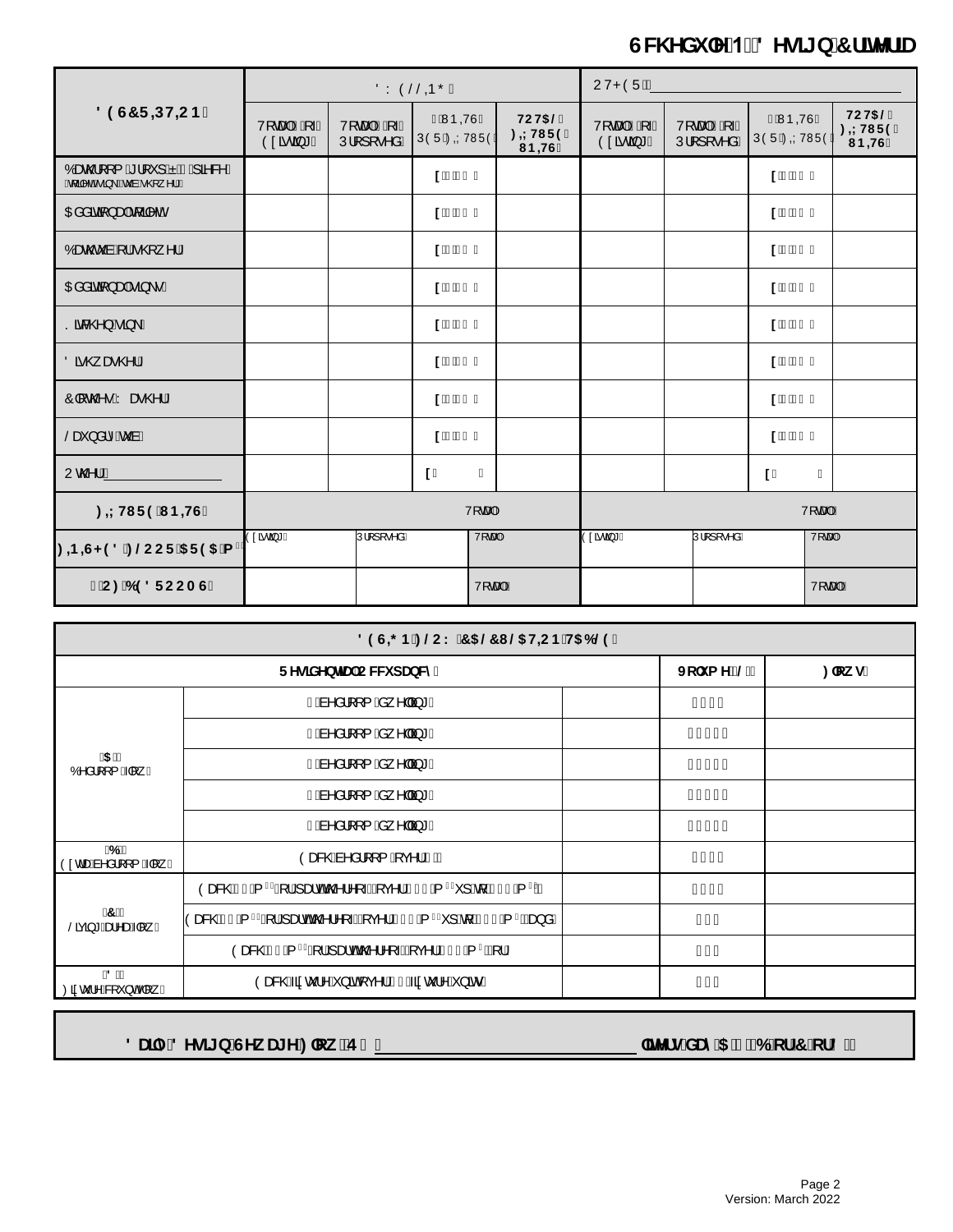# GW YXi `Y'1. 8 Yg][ b'7 f]hYf]U

| 89G7F DHCB                                               | ÖY ÒŠŠQ ÕÁ               |                         |                           | <b>UVPÒÜIÁ</b>                                         |                          |                            |                            |                                                             |
|----------------------------------------------------------|--------------------------|-------------------------|---------------------------|--------------------------------------------------------|--------------------------|----------------------------|----------------------------|-------------------------------------------------------------|
|                                                          | V[cantAA A<br>Ò¢ã cã * Á | V[cantAA A<br>Ú¦[][•^åÁ | ÀÁMÞOVÙÁ<br>ÚÒÜÁZOÝ VWÜÒÁ | HCH5@<br>: +LHIF9'<br>$I$ B <sub></sub> H <sub>G</sub> | V[capkAn A<br>Ò¢ã cã * Á | V[cantAA A<br>Ú¦[ ] [ •^åÁ | ÀÁNÞQVÙÁ<br>ÚÒÜÁZOÝ V NÜÒÁ | HCH5@<br>: <b>±HIF9</b><br>$I$ B <sub></sub> H <sub>G</sub> |
| Oæc@[[{ A '  ' ] Á Á HÁ a & A Á<br>@{a^dAa}\Bocabo@{^¦DA |                          |                         | $1.*$ \$'1'               |                                                        |                          |                            | $1 * $1.$                  |                                                             |
| O Eååãã[}æ Áq[ã ^oÁ                                      |                          |                         | 1'(51)                    |                                                        |                          |                            | 1'(51)                     |                                                             |
| Óær@čàÁ(¦Á@), ^¦Á                                        |                          |                         | 1,90,1.                   |                                                        |                          |                            | 1,90,1.                    |                                                             |
| OĐâåãqã}æ†Áã,∖∙Á                                         |                          |                         | $1.96$ 1                  |                                                        |                          |                            | $1.9%$ $1.9%$              |                                                             |
| Sã&@}Áã}\Á                                               |                          |                         | $1.96$ 1                  |                                                        |                          |                            | $1.9%$ 1                   |                                                             |
| Öã @ æ @¦Á                                               |                          |                         | 1.963.1                   |                                                        |                          |                            | 1.96\$.1.                  |                                                             |
| Ô∥c@•Áræ@¦Á                                              |                          |                         | $1.96$ 1.                 |                                                        |                          |                            | $1.9%$ 1                   |                                                             |
| Šæĭ}å¦^ <i>Í</i> sĭàÁ                                    |                          |                         | $1.96$ 1                  |                                                        |                          |                            | $1.9%$ $1.9%$              |                                                             |
| Uc@ HA                                                   |                          |                         | $1^{\circ}$<br>T.         |                                                        |                          |                            | $1^{\circ}$<br>T.          |                                                             |
| : + HI F9 I B + IG                                       |                          |                         | V[cao#                    |                                                        |                          |                            | V[caalkA                   |                                                             |
|                                                          | Ò¢ãoã*Á                  | Ú¦[ ] [ ∙^åÁ            | V[capA                    |                                                        | Ò¢ãoã*Á                  | Ú¦[ ] [ ∙^åÁ               |                            | V[capA                                                      |
| CC: 698FCCAG                                             |                          |                         | V[ca#A                    |                                                        |                          |                            |                            | V[caalkA                                                    |

| 89G=B: @CK 75@71 @SH=CB H56@9                                                                                                                  |                                                                                                    |  |              |         |  |
|------------------------------------------------------------------------------------------------------------------------------------------------|----------------------------------------------------------------------------------------------------|--|--------------|---------|--|
|                                                                                                                                                | FYg]XYbHU CWW dUbWn                                                                                |  | Jc'i a Yflor | :`ck g` |  |
| f5 Ł<br>Ó^å¦[[{ $\frac{1}{4}$ A                                                                                                                | FÁa^å¦[[{Áa,^  ã]*Á                                                                                |  | ÏÍ€Á         |         |  |
|                                                                                                                                                | G&n^ål[[{ $\&$ ^    $3 * A$                                                                        |  | FF€€Á        |         |  |
|                                                                                                                                                | HÁà^å¦[[{Áå,^  ã}*Á                                                                                |  | F΀€Á         |         |  |
|                                                                                                                                                | I Áa^å¦[[{ Áa, ^  ã] * Á                                                                           |  | G€€€Á        |         |  |
|                                                                                                                                                | Í Áa^å¦[[{Áa,^  ã] * Á                                                                             |  | GÍ€€Á        |         |  |
| f6 Ł<br>Ò¢dæÁà^å¦[[{Á [,Á                                                                                                                      | Òæ&@Áa^å¦[{ $\AA$ ç^¦ $\AA$ Ê $\AA$                                                                |  | Í€€Á         |         |  |
| frľ<br>$\overline{\text{S}}$ açã $\overline{\text{A}}$ $\overline{\text{A}}$ $\overline{\text{A}}$ $\overline{\text{A}}$ $\overline{\text{A}}$ | Òæ&@ÁF€Á{ <sup>Gá</sup> Q}¦Ájækók@?¦^[~DÁjç^¦ÁG€€Á{ <sup>Gá</sup> r}Áqjáj€€Á{ <sup>G</sup> ÉÁ      |  | F€€Á         |         |  |
|                                                                                                                                                | Òæ&@ÁF€Á{ <sup>Gá</sup> Q}¦Ájækókô@¦^[~DÁjç^¦Áj€€Á{ <sup>Gár</sup> ]Áq{Âj€€Á{ <sup>G</sup> Ézke}åÁ |  | ÏÍÁ          |         |  |
|                                                                                                                                                | Òæ&@FFEÁ{ <sup>Gá</sup> Q}¦Á}ædók@?¦^[+DÁ}ç^¦Â}€FEÁ{ <sup>G</sup> ÉÁ}¦Á                            |  | Í€Á          |         |  |
| f8 Ł<br>Øã¢c l^Á&[ˇ} σÁ [¸ Á                                                                                                                   | Òæ&@Áã¢č¦^Á}ãoÁç^¦ÁG€Áã¢č¦^Á}ão•Á                                                                  |  | Í€Á          |         |  |

8 Uj m8 Ygj[ b GYk Uj Y: `ck žE 1\_

`]hYfg#XUm5 2`f6 cf7 cf8Ł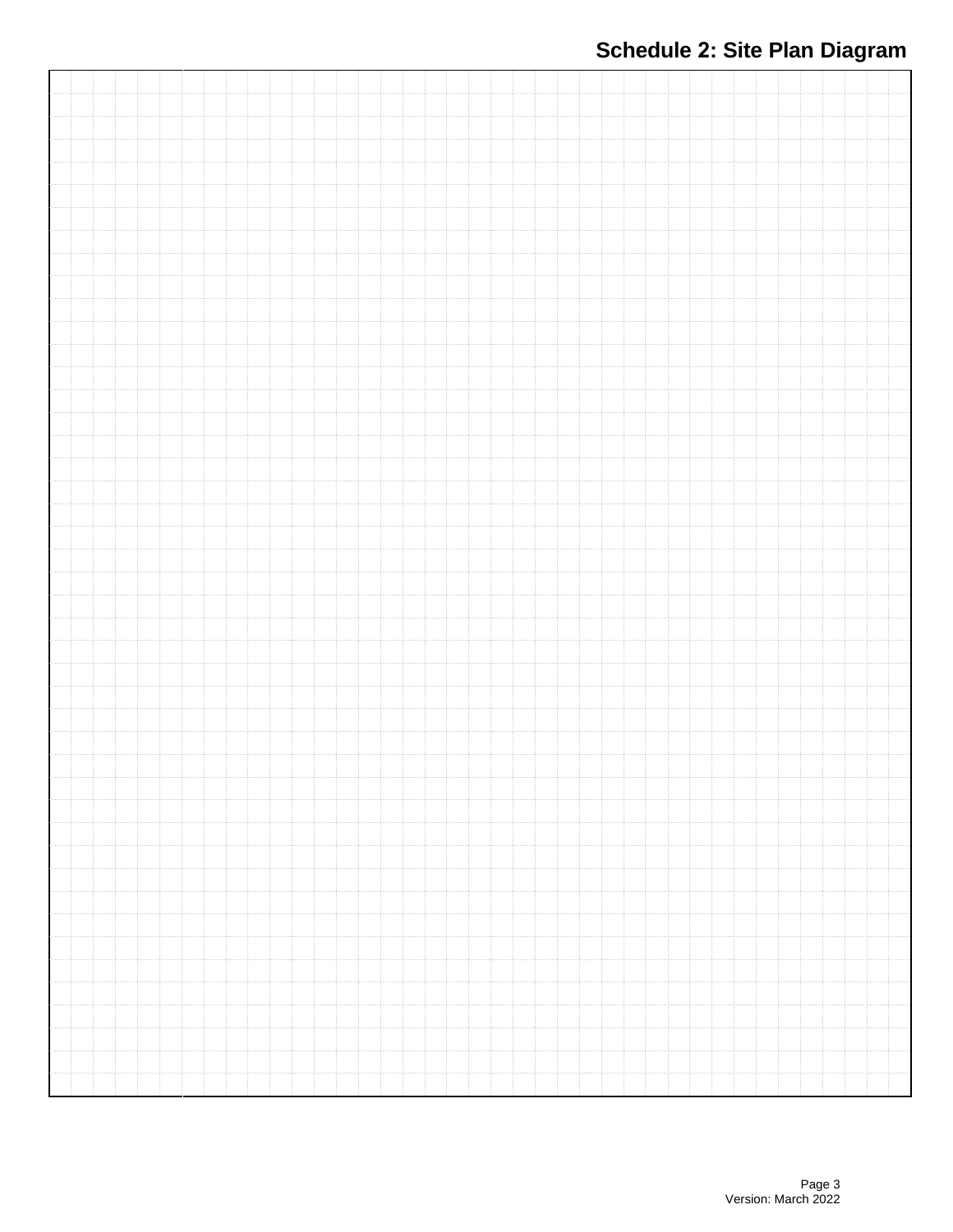